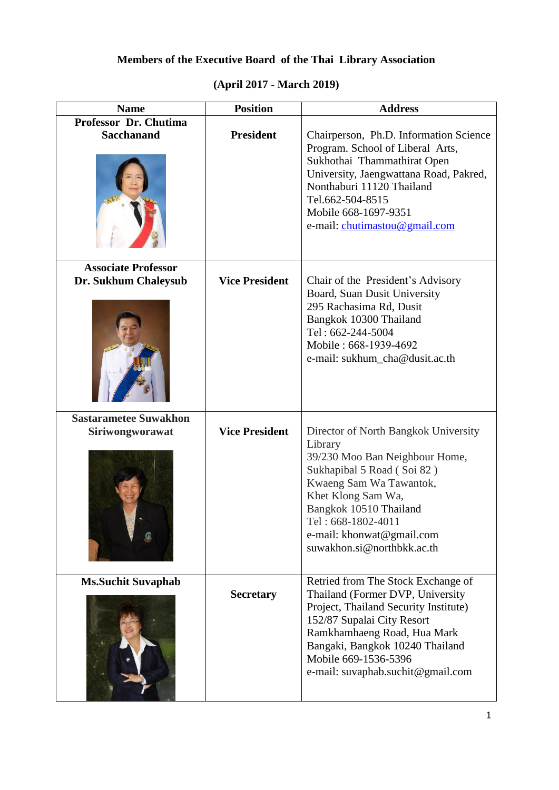## **Members of the Executive Board of the Thai Library Association**

| <b>Name</b>                                | <b>Position</b>       | <b>Address</b>                                                                                                                                                                                                                                                              |
|--------------------------------------------|-----------------------|-----------------------------------------------------------------------------------------------------------------------------------------------------------------------------------------------------------------------------------------------------------------------------|
| Professor Dr. Chutima<br><b>Sacchanand</b> | <b>President</b>      |                                                                                                                                                                                                                                                                             |
|                                            |                       | Chairperson, Ph.D. Information Science<br>Program. School of Liberal Arts,<br>Sukhothai Thammathirat Open<br>University, Jaengwattana Road, Pakred,<br>Nonthaburi 11120 Thailand<br>Tel.662-504-8515<br>Mobile 668-1697-9351<br>e-mail: chutimastou@gmail.com               |
| <b>Associate Professor</b>                 |                       |                                                                                                                                                                                                                                                                             |
| Dr. Sukhum Chaleysub                       | <b>Vice President</b> | Chair of the President's Advisory<br>Board, Suan Dusit University<br>295 Rachasima Rd, Dusit<br>Bangkok 10300 Thailand<br>Tel: 662-244-5004<br>Mobile: 668-1939-4692<br>e-mail: sukhum_cha@dusit.ac.th                                                                      |
| <b>Sastarametee Suwakhon</b>               | <b>Vice President</b> |                                                                                                                                                                                                                                                                             |
| Siriwongworawat                            |                       | Director of North Bangkok University<br>Library<br>39/230 Moo Ban Neighbour Home,<br>Sukhapibal 5 Road (Soi 82)<br>Kwaeng Sam Wa Tawantok,<br>Khet Klong Sam Wa,<br>Bangkok 10510 Thailand<br>Tel: 668-1802-4011<br>e-mail: khonwat@gmail.com<br>suwakhon.si@northbkk.ac.th |
| <b>Ms.Suchit Suvaphab</b>                  | <b>Secretary</b>      | Retried from The Stock Exchange of<br>Thailand (Former DVP, University                                                                                                                                                                                                      |
|                                            |                       | Project, Thailand Security Institute)<br>152/87 Supalai City Resort<br>Ramkhamhaeng Road, Hua Mark<br>Bangaki, Bangkok 10240 Thailand<br>Mobile 669-1536-5396<br>e-mail: suvaphab.suchit@gmail.com                                                                          |

## **(April 2017 - March 2019)**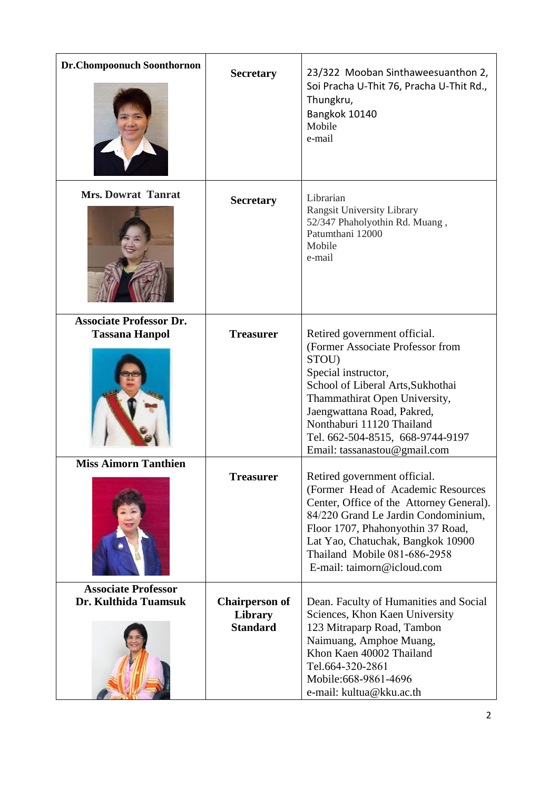| <b>Dr.Chompoonuch Soonthornon</b>                       | <b>Secretary</b>                                    | 23/322 Mooban Sinthaweesuanthon 2,<br>Soi Pracha U-Thit 76, Pracha U-Thit Rd.,<br>Thungkru,<br>Bangkok 10140<br>Mobile<br>e-mail                                                                                                                                                                      |
|---------------------------------------------------------|-----------------------------------------------------|-------------------------------------------------------------------------------------------------------------------------------------------------------------------------------------------------------------------------------------------------------------------------------------------------------|
| <b>Mrs. Dowrat Tanrat</b>                               | <b>Secretary</b>                                    | Librarian<br><b>Rangsit University Library</b><br>52/347 Phaholyothin Rd. Muang,<br>Patumthani 12000<br>Mobile<br>e-mail                                                                                                                                                                              |
| <b>Associate Professor Dr.</b><br><b>Tassana Hanpol</b> | <b>Treasurer</b>                                    | Retired government official.<br>(Former Associate Professor from<br>STOU)<br>Special instructor,<br>School of Liberal Arts, Sukhothai<br>Thammathirat Open University,<br>Jaengwattana Road, Pakred,<br>Nonthaburi 11120 Thailand<br>Tel. 662-504-8515, 668-9744-9197<br>Email: tassanastou@gmail.com |
| <b>Miss Aimorn Tanthien</b>                             | <b>Treasurer</b>                                    | Retired government official.<br>(Former Head of Academic Resources<br>Center, Office of the Attorney General).<br>84/220 Grand Le Jardin Condominium,<br>Floor 1707, Phahonyothin 37 Road,<br>Lat Yao, Chatuchak, Bangkok 10900<br>Thailand Mobile 081-686-2958<br>E-mail: taimorn@icloud.com         |
| <b>Associate Professor</b><br>Dr. Kulthida Tuamsuk      | <b>Chairperson of</b><br>Library<br><b>Standard</b> | Dean. Faculty of Humanities and Social<br>Sciences, Khon Kaen University<br>123 Mitraparp Road, Tambon<br>Naimuang, Amphoe Muang,<br>Khon Kaen 40002 Thailand<br>Tel.664-320-2861<br>Mobile: 668-9861-4696<br>e-mail: kultua@kku.ac.th                                                                |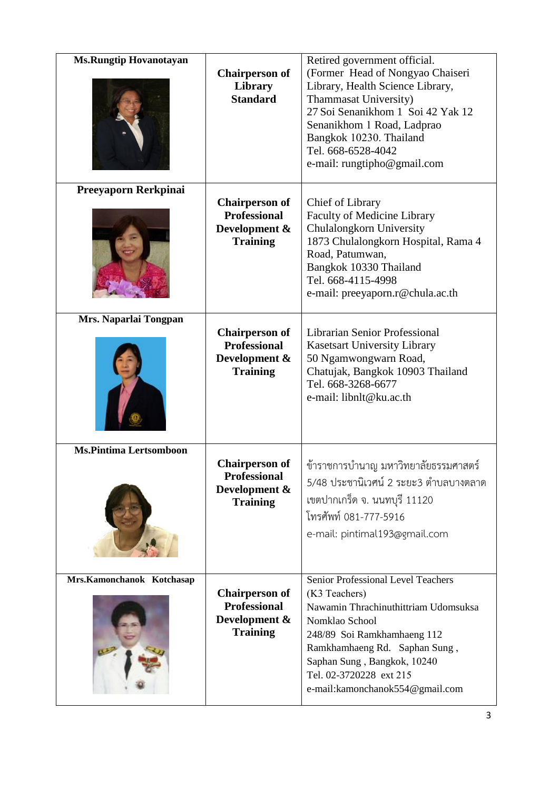| <b>Ms.Rungtip Hovanotayan</b> | <b>Chairperson of</b><br>Library<br><b>Standard</b>                              | Retired government official.<br>(Former Head of Nongyao Chaiseri<br>Library, Health Science Library,<br>Thammasat University)<br>27 Soi Senanikhom 1 Soi 42 Yak 12<br>Senanikhom 1 Road, Ladprao<br>Bangkok 10230. Thailand<br>Tel. 668-6528-4042<br>e-mail: rungtipho@gmail.com |
|-------------------------------|----------------------------------------------------------------------------------|----------------------------------------------------------------------------------------------------------------------------------------------------------------------------------------------------------------------------------------------------------------------------------|
| Preeyaporn Rerkpinai          | <b>Chairperson of</b><br><b>Professional</b><br>Development &<br><b>Training</b> | Chief of Library<br><b>Faculty of Medicine Library</b><br>Chulalongkorn University<br>1873 Chulalongkorn Hospital, Rama 4<br>Road, Patumwan,<br>Bangkok 10330 Thailand<br>Tel. 668-4115-4998<br>e-mail: preeyaporn.r@chula.ac.th                                                 |
| Mrs. Naparlai Tongpan         | <b>Chairperson of</b><br><b>Professional</b><br>Development &<br><b>Training</b> | Librarian Senior Professional<br><b>Kasetsart University Library</b><br>50 Ngamwongwarn Road,<br>Chatujak, Bangkok 10903 Thailand<br>Tel. 668-3268-6677<br>e-mail: libnlt@ku.ac.th                                                                                               |
| <b>Ms.Pintima Lertsomboon</b> | <b>Chairperson of</b><br><b>Professional</b><br>Development &<br><b>Training</b> | ข้าราชการบำนาญ มหาวิทยาลัยธรรมศาสตร์<br>5/48 ประชานิเวศน์ 2 ระยะ3 ตำบลบางตลาด<br>เขตปากเกร็ด จ. นนทบุรี 11120<br>โทรศัพท์ 081-777-5916<br>e-mail: pintimal193@gmail.com                                                                                                          |
| Mrs.Kamonchanok Kotchasap     | <b>Chairperson of</b><br><b>Professional</b><br>Development &<br><b>Training</b> | Senior Professional Level Teachers<br>(K3 Teachers)<br>Nawamin Thrachinuthittriam Udomsuksa<br>Nomklao School<br>248/89 Soi Ramkhamhaeng 112<br>Ramkhamhaeng Rd. Saphan Sung,<br>Saphan Sung, Bangkok, 10240<br>Tel. 02-3720228 ext 215<br>e-mail: kamonchanok 554@gmail.com     |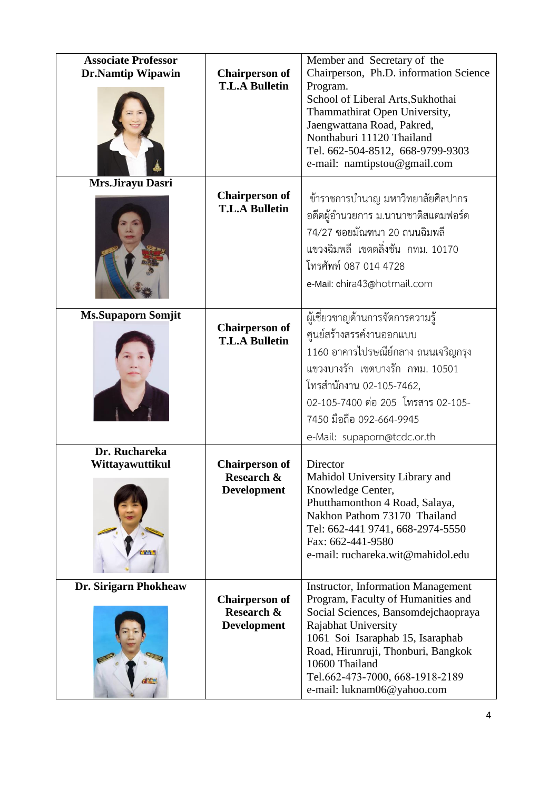| <b>Associate Professor</b><br><b>Dr.Namtip Wipawin</b> | <b>Chairperson of</b><br><b>T.L.A Bulletin</b>                       | Member and Secretary of the<br>Chairperson, Ph.D. information Science<br>Program.<br>School of Liberal Arts, Sukhothai<br>Thammathirat Open University,<br>Jaengwattana Road, Pakred,<br>Nonthaburi 11120 Thailand<br>Tel. 662-504-8512, 668-9799-9303<br>e-mail: namtipstou@gmail.com                     |
|--------------------------------------------------------|----------------------------------------------------------------------|------------------------------------------------------------------------------------------------------------------------------------------------------------------------------------------------------------------------------------------------------------------------------------------------------------|
| Mrs.Jirayu Dasri                                       | <b>Chairperson of</b><br><b>T.L.A Bulletin</b>                       | ข้าราชการบำนาญ มหาวิทยาลัยศิลปากร<br>อดีตผู้อำนวยการ ม.นานาชาติสแตมฟอร์ด<br>74/27 ซอยมัณฑนา 20 ถนนฉิมพลี<br>แขวงฉิมพลี เขตตลิ่งชัน กทม. 10170<br>โทรศัพท์ 087 014 4728<br>e-Mail: chira43@hotmail.com                                                                                                      |
| <b>Ms.Supaporn Somjit</b>                              | <b>Chairperson of</b><br><b>T.L.A Bulletin</b>                       | ผู้เชี่ยวชาญด้านการจัดการความรู้<br>ศูนย์สร้างสรรค์งานออกแบบ<br>1160 อาคารไปรษณีย์กลาง ถนนเจริญกรุง<br>แขวงบางรัก เขตบางรัก กทม. 10501<br>โทรสำนักงาน 02-105-7462,<br>02-105-7400 ต่อ 205 โทรสาร 02-105-<br>7450 มือถือ 092-664-9945<br>e-Mail: supaporn@tcdc.or.th                                        |
| Dr. Ruchareka<br>Wittayawuttikul                       | <b>Chairperson of</b><br>Research &<br><b>Development</b>            | Director<br>Mahidol University Library and<br>Knowledge Center,<br>Phutthamonthon 4 Road, Salaya,<br>Nakhon Pathom 73170 Thailand<br>Tel: 662-441 9741, 668-2974-5550<br>Fax: 662-441-9580<br>e-mail: ruchareka.wit@mahidol.edu                                                                            |
| Dr. Sirigarn Phokheaw                                  | <b>Chairperson of</b><br><b>Research &amp;</b><br><b>Development</b> | <b>Instructor, Information Management</b><br>Program, Faculty of Humanities and<br>Social Sciences, Bansomdejchaopraya<br>Rajabhat University<br>1061 Soi Isaraphab 15, Isaraphab<br>Road, Hirunruji, Thonburi, Bangkok<br>10600 Thailand<br>Tel.662-473-7000, 668-1918-2189<br>e-mail: luknam06@yahoo.com |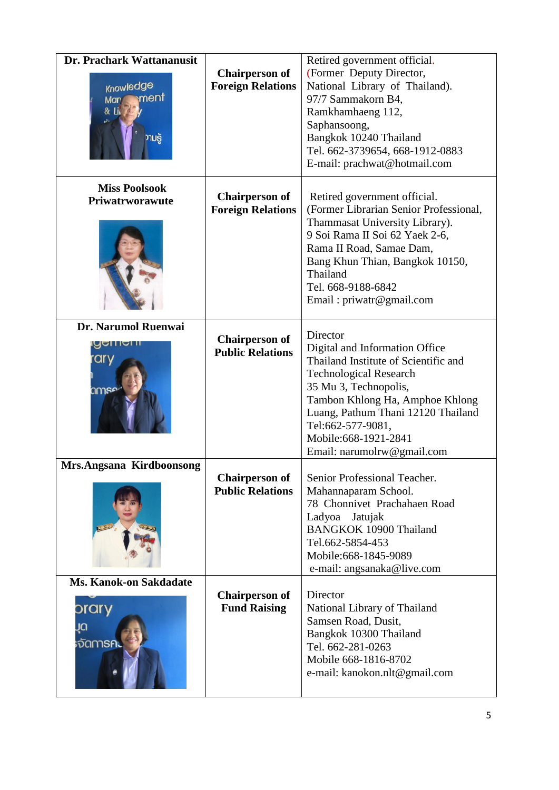| Dr. Prachark Wattananusit     |                          | Retired government official.           |
|-------------------------------|--------------------------|----------------------------------------|
|                               | <b>Chairperson of</b>    | (Former Deputy Director,               |
| Knowledge                     | <b>Foreign Relations</b> | National Library of Thailand).         |
| ment<br>Mar                   |                          | 97/7 Sammakorn B4,                     |
|                               |                          | Ramkhamhaeng 112,                      |
|                               |                          | Saphansoong,                           |
| ານຮູ້                         |                          | Bangkok 10240 Thailand                 |
|                               |                          | Tel. 662-3739654, 668-1912-0883        |
|                               |                          | E-mail: prachwat@hotmail.com           |
|                               |                          |                                        |
| <b>Miss Poolsook</b>          |                          |                                        |
| Priwatrworawute               | <b>Chairperson of</b>    | Retired government official.           |
|                               | <b>Foreign Relations</b> | (Former Librarian Senior Professional, |
|                               |                          | Thammasat University Library).         |
|                               |                          | 9 Soi Rama II Soi 62 Yaek 2-6,         |
|                               |                          | Rama II Road, Samae Dam,               |
|                               |                          | Bang Khun Thian, Bangkok 10150,        |
|                               |                          | Thailand                               |
|                               |                          | Tel. 668-9188-6842                     |
|                               |                          | Email: priwatr@gmail.com               |
| Dr. Narumol Ruenwai           |                          |                                        |
|                               | <b>Chairperson of</b>    | Director                               |
|                               | <b>Public Relations</b>  | Digital and Information Office         |
| ary                           |                          | Thailand Institute of Scientific and   |
|                               |                          | <b>Technological Research</b>          |
| amse                          |                          | 35 Mu 3, Technopolis,                  |
|                               |                          | Tambon Khlong Ha, Amphoe Khlong        |
|                               |                          | Luang, Pathum Thani 12120 Thailand     |
|                               |                          | Tel:662-577-9081,                      |
|                               |                          | Mobile: 668-1921-2841                  |
|                               |                          | Email: narumolrw@gmail.com             |
| Mrs.Angsana Kirdboonsong      |                          |                                        |
|                               | <b>Chairperson of</b>    | Senior Professional Teacher.           |
|                               | <b>Public Relations</b>  | Mahannaparam School.                   |
|                               |                          | 78 Chonnivet Prachahaen Road           |
|                               |                          | Ladyoa<br>Jatujak                      |
|                               |                          | <b>BANGKOK 10900 Thailand</b>          |
|                               |                          | Tel.662-5854-453                       |
|                               |                          | Mobile: 668-1845-9089                  |
|                               |                          | e-mail: angsanaka@live.com             |
| <b>Ms. Kanok-on Sakdadate</b> |                          |                                        |
|                               | <b>Chairperson of</b>    | Director                               |
| prary                         | <b>Fund Raising</b>      | National Library of Thailand           |
| ūη                            |                          | Samsen Road, Dusit,                    |
| <sub>้</sub> จัดการค          |                          | Bangkok 10300 Thailand                 |
|                               |                          | Tel. 662-281-0263                      |
|                               |                          | Mobile 668-1816-8702                   |
|                               |                          | e-mail: kanokon.nlt@gmail.com          |
|                               |                          |                                        |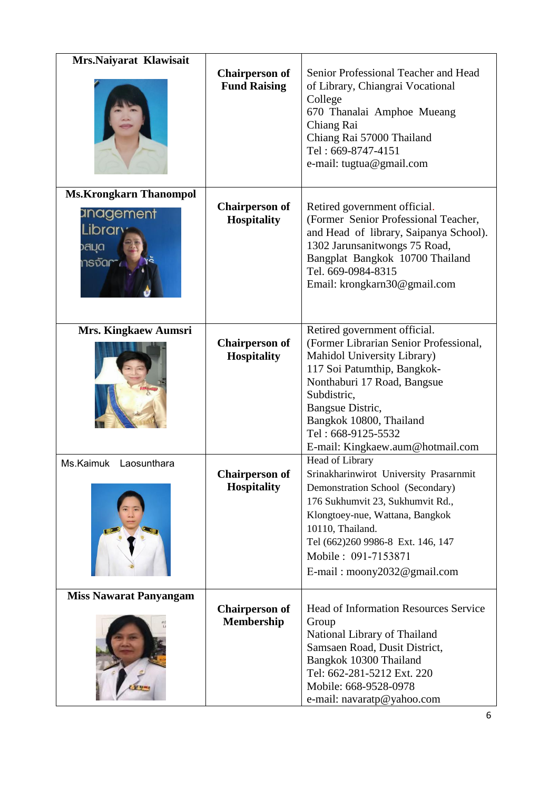| Mrs.Naiyarat Klawisait                  |                                              |                                                                                                                                                                                                                                                                  |
|-----------------------------------------|----------------------------------------------|------------------------------------------------------------------------------------------------------------------------------------------------------------------------------------------------------------------------------------------------------------------|
|                                         | <b>Chairperson of</b><br><b>Fund Raising</b> | Senior Professional Teacher and Head<br>of Library, Chiangrai Vocational<br>College<br>670 Thanalai Amphoe Mueang<br>Chiang Rai<br>Chiang Rai 57000 Thailand<br>Tel: 669-8747-4151<br>e-mail: tugtua@gmail.com                                                   |
| <b>Ms.Krongkarn Thanompol</b>           |                                              |                                                                                                                                                                                                                                                                  |
| anagement<br>Library<br>วสมด<br>ทรจัดคา | <b>Chairperson of</b><br><b>Hospitality</b>  | Retired government official.<br>(Former Senior Professional Teacher,<br>and Head of library, Saipanya School).<br>1302 Jarunsanitwongs 75 Road,<br>Bangplat Bangkok 10700 Thailand<br>Tel. 669-0984-8315<br>Email: krongkarn30@gmail.com                         |
| Mrs. Kingkaew Aumsri                    |                                              | Retired government official.                                                                                                                                                                                                                                     |
|                                         | <b>Chairperson of</b><br><b>Hospitality</b>  | (Former Librarian Senior Professional,<br>Mahidol University Library)<br>117 Soi Patumthip, Bangkok-<br>Nonthaburi 17 Road, Bangsue<br>Subdistric,<br>Bangsue Distric,<br>Bangkok 10800, Thailand<br>Tel: 668-9125-5532<br>E-mail: Kingkaew.aum@hotmail.com      |
| Ms.Kaimuk Laosunthara                   |                                              | Head of Library                                                                                                                                                                                                                                                  |
|                                         | <b>Chairperson of</b><br><b>Hospitality</b>  | Srinakharinwirot University Prasarnmit<br>Demonstration School (Secondary)<br>176 Sukhumvit 23, Sukhumvit Rd.,<br>Klongtoey-nue, Wattana, Bangkok<br>10110, Thailand.<br>Tel (662)260 9986-8 Ext. 146, 147<br>Mobile: 091-7153871<br>E-mail: moony2032@gmail.com |
| <b>Miss Nawarat Panyangam</b>           |                                              |                                                                                                                                                                                                                                                                  |
|                                         | <b>Chairperson of</b><br><b>Membership</b>   | <b>Head of Information Resources Service</b><br>Group<br>National Library of Thailand<br>Samsaen Road, Dusit District,<br>Bangkok 10300 Thailand<br>Tel: 662-281-5212 Ext. 220<br>Mobile: 668-9528-0978<br>e-mail: navaratp@yahoo.com                            |